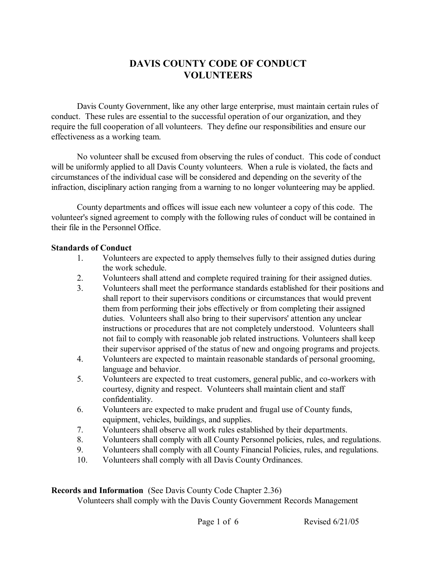# **DAVIS COUNTY CODE OF CONDUCT VOLUNTEERS**

Davis County Government, like any other large enterprise, must maintain certain rules of conduct. These rules are essential to the successful operation of our organization, and they require the full cooperation of all volunteers. They define our responsibilities and ensure our effectiveness as a working team.

No volunteer shall be excused from observing the rules of conduct. This code of conduct will be uniformly applied to all Davis County volunteers. When a rule is violated, the facts and circumstances of the individual case will be considered and depending on the severity of the infraction, disciplinary action ranging from a warning to no longer volunteering may be applied.

County departments and offices will issue each new volunteer a copy of this code. The volunteer's signed agreement to comply with the following rules of conduct will be contained in their file in the Personnel Office.

#### **Standards of Conduct**

- 1. Volunteers are expected to apply themselves fully to their assigned duties during the work schedule.
- 2. Volunteers shall attend and complete required training for their assigned duties.
- 3. Volunteers shall meet the performance standards established for their positions and shall report to their supervisors conditions or circumstances that would prevent them from performing their jobs effectively or from completing their assigned duties. Volunteers shall also bring to their supervisors' attention any unclear instructions or procedures that are not completely understood. Volunteers shall not fail to comply with reasonable job related instructions. Volunteers shall keep their supervisor apprised of the status of new and ongoing programs and projects.
- 4. Volunteers are expected to maintain reasonable standards of personal grooming, language and behavior.
- 5. Volunteers are expected to treat customers, general public, and co-workers with courtesy, dignity and respect. Volunteers shall maintain client and staff confidentiality.
- 6. Volunteers are expected to make prudent and frugal use of County funds, equipment, vehicles, buildings, and supplies.
- 7. Volunteers shall observe all work rules established by their departments.
- 8. Volunteers shall comply with all County Personnel policies, rules, and regulations.
- 9. Volunteers shall comply with all County Financial Policies, rules, and regulations.
- 10. Volunteers shall comply with all Davis County Ordinances.

### **Records and Information** (See Davis County Code Chapter 2.36)

Volunteers shall comply with the Davis County Government Records Management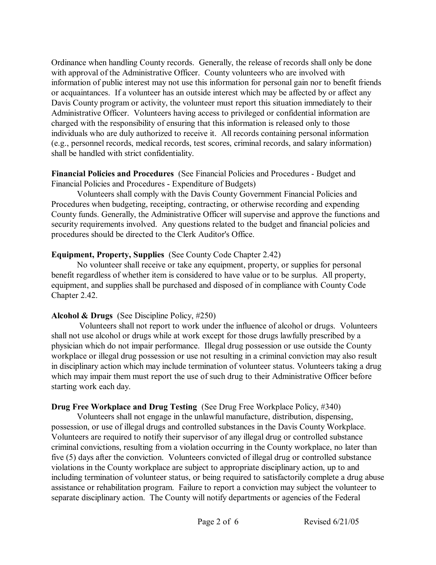Ordinance when handling County records. Generally, the release of records shall only be done with approval of the Administrative Officer. County volunteers who are involved with information of public interest may not use this information for personal gain nor to benefit friends or acquaintances. If a volunteer has an outside interest which may be affected by or affect any Davis County program or activity, the volunteer must report this situation immediately to their Administrative Officer. Volunteers having access to privileged or confidential information are charged with the responsibility of ensuring that this information is released only to those individuals who are duly authorized to receive it. All records containing personal information (e.g., personnel records, medical records, test scores, criminal records, and salary information) shall be handled with strict confidentiality.

### **Financial Policies and Procedures** (See Financial Policies and Procedures - Budget and Financial Policies and Procedures - Expenditure of Budgets)

Volunteers shall comply with the Davis County Government Financial Policies and Procedures when budgeting, receipting, contracting, or otherwise recording and expending County funds. Generally, the Administrative Officer will supervise and approve the functions and security requirements involved. Any questions related to the budget and financial policies and procedures should be directed to the Clerk Auditor's Office.

### **Equipment, Property, Supplies** (See County Code Chapter 2.42)

No volunteer shall receive or take any equipment, property, or supplies for personal benefit regardless of whether item is considered to have value or to be surplus. All property, equipment, and supplies shall be purchased and disposed of in compliance with County Code Chapter 2.42.

### **Alcohol & Drugs** (See Discipline Policy, #250)

Volunteers shall not report to work under the influence of alcohol or drugs. Volunteers shall not use alcohol or drugs while at work except for those drugs lawfully prescribed by a physician which do not impair performance. Illegal drug possession or use outside the County workplace or illegal drug possession or use not resulting in a criminal conviction may also result in disciplinary action which may include termination of volunteer status. Volunteers taking a drug which may impair them must report the use of such drug to their Administrative Officer before starting work each day.

# **Drug Free Workplace and Drug Testing** (See Drug Free Workplace Policy, #340)

Volunteers shall not engage in the unlawful manufacture, distribution, dispensing, possession, or use of illegal drugs and controlled substances in the Davis County Workplace. Volunteers are required to notify their supervisor of any illegal drug or controlled substance criminal convictions, resulting from a violation occurring in the County workplace, no later than five (5) days after the conviction. Volunteers convicted of illegal drug or controlled substance violations in the County workplace are subject to appropriate disciplinary action, up to and including termination of volunteer status, or being required to satisfactorily complete a drug abuse assistance or rehabilitation program. Failure to report a conviction may subject the volunteer to separate disciplinary action. The County will notify departments or agencies of the Federal

Page 2 of 6 Revised 6/21/05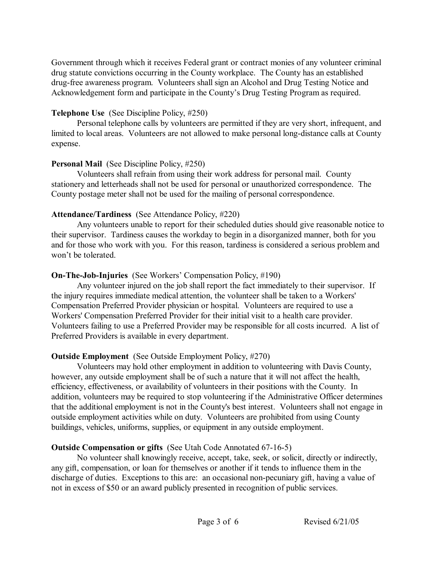Government through which it receives Federal grant or contract monies of any volunteer criminal drug statute convictions occurring in the County workplace. The County has an established drug-free awareness program. Volunteers shall sign an Alcohol and Drug Testing Notice and Acknowledgement form and participate in the County's Drug Testing Program as required.

### **Telephone Use** (See Discipline Policy, #250)

Personal telephone calls by volunteers are permitted if they are very short, infrequent, and limited to local areas. Volunteers are not allowed to make personal long-distance calls at County expense.

### **Personal Mail** (See Discipline Policy, #250)

Volunteers shall refrain from using their work address for personal mail. County stationery and letterheads shall not be used for personal or unauthorized correspondence. The County postage meter shall not be used for the mailing of personal correspondence.

# **Attendance/Tardiness** (See Attendance Policy, #220)

Any volunteers unable to report for their scheduled duties should give reasonable notice to their supervisor. Tardiness causes the workday to begin in a disorganized manner, both for you and for those who work with you. For this reason, tardiness is considered a serious problem and won't be tolerated.

# **On-The-Job-Injuries** (See Workers' Compensation Policy, #190)

Any volunteer injured on the job shall report the fact immediately to their supervisor. If the injury requires immediate medical attention, the volunteer shall be taken to a Workers' Compensation Preferred Provider physician or hospital. Volunteers are required to use a Workers' Compensation Preferred Provider for their initial visit to a health care provider. Volunteers failing to use a Preferred Provider may be responsible for all costs incurred. A list of Preferred Providers is available in every department.

# **Outside Employment** (See Outside Employment Policy, #270)

Volunteers may hold other employment in addition to volunteering with Davis County, however, any outside employment shall be of such a nature that it will not affect the health, efficiency, effectiveness, or availability of volunteers in their positions with the County. In addition, volunteers may be required to stop volunteering if the Administrative Officer determines that the additional employment is not in the County's best interest. Volunteers shall not engage in outside employment activities while on duty. Volunteers are prohibited from using County buildings, vehicles, uniforms, supplies, or equipment in any outside employment.

# **Outside Compensation or gifts** (See Utah Code Annotated 67-16-5)

No volunteer shall knowingly receive, accept, take, seek, or solicit, directly or indirectly, any gift, compensation, or loan for themselves or another if it tends to influence them in the discharge of duties. Exceptions to this are: an occasional non-pecuniary gift, having a value of not in excess of \$50 or an award publicly presented in recognition of public services.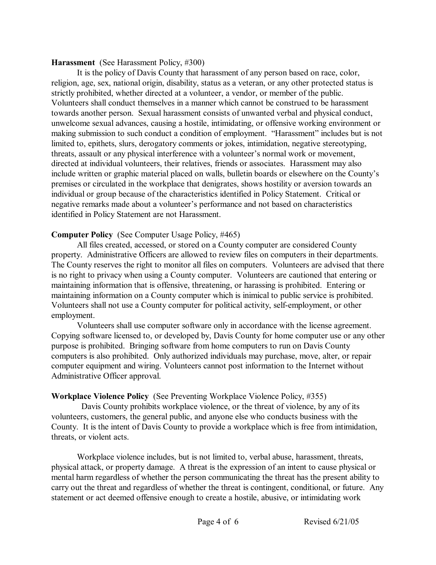#### **Harassment** (See Harassment Policy, #300)

It is the policy of Davis County that harassment of any person based on race, color, religion, age, sex, national origin, disability, status as a veteran, or any other protected status is strictly prohibited, whether directed at a volunteer, a vendor, or member of the public. Volunteers shall conduct themselves in a manner which cannot be construed to be harassment towards another person. Sexual harassment consists of unwanted verbal and physical conduct, unwelcome sexual advances, causing a hostile, intimidating, or offensive working environment or making submission to such conduct a condition of employment. "Harassment" includes but is not limited to, epithets, slurs, derogatory comments or jokes, intimidation, negative stereotyping, threats, assault or any physical interference with a volunteer's normal work or movement, directed at individual volunteers, their relatives, friends or associates. Harassment may also include written or graphic material placed on walls, bulletin boards or elsewhere on the County's premises or circulated in the workplace that denigrates, shows hostility or aversion towards an individual or group because of the characteristics identified in Policy Statement. Critical or negative remarks made about a volunteer's performance and not based on characteristics identified in Policy Statement are not Harassment.

### **Computer Policy** (See Computer Usage Policy, #465)

All files created, accessed, or stored on a County computer are considered County property. Administrative Officers are allowed to review files on computers in their departments. The County reserves the right to monitor all files on computers. Volunteers are advised that there is no right to privacy when using a County computer. Volunteers are cautioned that entering or maintaining information that is offensive, threatening, or harassing is prohibited. Entering or maintaining information on a County computer which is inimical to public service is prohibited. Volunteers shall not use a County computer for political activity, self-employment, or other employment.

Volunteers shall use computer software only in accordance with the license agreement. Copying software licensed to, or developed by, Davis County for home computer use or any other purpose is prohibited. Bringing software from home computers to run on Davis County computers is also prohibited. Only authorized individuals may purchase, move, alter, or repair computer equipment and wiring. Volunteers cannot post information to the Internet without Administrative Officer approval.

# **Workplace Violence Policy** (See Preventing Workplace Violence Policy, #355)

Davis County prohibits workplace violence, or the threat of violence, by any of its volunteers, customers, the general public, and anyone else who conducts business with the County. It is the intent of Davis County to provide a workplace which is free from intimidation, threats, or violent acts.

Workplace violence includes, but is not limited to, verbal abuse, harassment, threats, physical attack, or property damage. A threat is the expression of an intent to cause physical or mental harm regardless of whether the person communicating the threat has the present ability to carry out the threat and regardless of whether the threat is contingent, conditional, or future. Any statement or act deemed offensive enough to create a hostile, abusive, or intimidating work

Page 4 of 6 Revised 6/21/05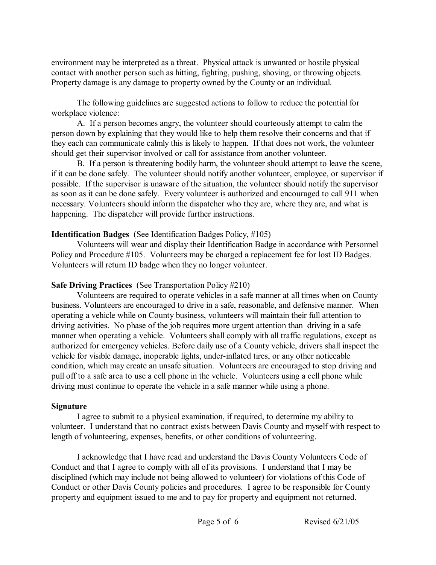environment may be interpreted as a threat. Physical attack is unwanted or hostile physical contact with another person such as hitting, fighting, pushing, shoving, or throwing objects. Property damage is any damage to property owned by the County or an individual.

The following guidelines are suggested actions to follow to reduce the potential for workplace violence:

A. If a person becomes angry, the volunteer should courteously attempt to calm the person down by explaining that they would like to help them resolve their concerns and that if they each can communicate calmly this is likely to happen. If that does not work, the volunteer should get their supervisor involved or call for assistance from another volunteer.

B. If a person is threatening bodily harm, the volunteer should attempt to leave the scene, if it can be done safely. The volunteer should notify another volunteer, employee, or supervisor if possible. If the supervisor is unaware of the situation, the volunteer should notify the supervisor as soon as it can be done safely. Every volunteer is authorized and encouraged to call 911 when necessary. Volunteers should inform the dispatcher who they are, where they are, and what is happening. The dispatcher will provide further instructions.

### **Identification Badges** (See Identification Badges Policy, #105)

Volunteers will wear and display their Identification Badge in accordance with Personnel Policy and Procedure #105. Volunteers may be charged a replacement fee for lost ID Badges. Volunteers will return ID badge when they no longer volunteer.

# **Safe Driving Practices** (See Transportation Policy #210)

Volunteers are required to operate vehicles in a safe manner at all times when on County business. Volunteers are encouraged to drive in a safe, reasonable, and defensive manner. When operating a vehicle while on County business, volunteers will maintain their full attention to driving activities. No phase of the job requires more urgent attention than driving in a safe manner when operating a vehicle. Volunteers shall comply with all traffic regulations, except as authorized for emergency vehicles. Before daily use of a County vehicle, drivers shall inspect the vehicle for visible damage, inoperable lights, underinflated tires, or any other noticeable condition, which may create an unsafe situation. Volunteers are encouraged to stop driving and pull off to a safe area to use a cell phone in the vehicle. Volunteers using a cell phone while driving must continue to operate the vehicle in a safe manner while using a phone.

### **Signature**

I agree to submit to a physical examination, if required, to determine my ability to volunteer. I understand that no contract exists between Davis County and myself with respect to length of volunteering, expenses, benefits, or other conditions of volunteering.

I acknowledge that I have read and understand the Davis County Volunteers Code of Conduct and that I agree to comply with all of its provisions. I understand that I may be disciplined (which may include not being allowed to volunteer) for violations of this Code of Conduct or other Davis County policies and procedures. I agree to be responsible for County property and equipment issued to me and to pay for property and equipment not returned.